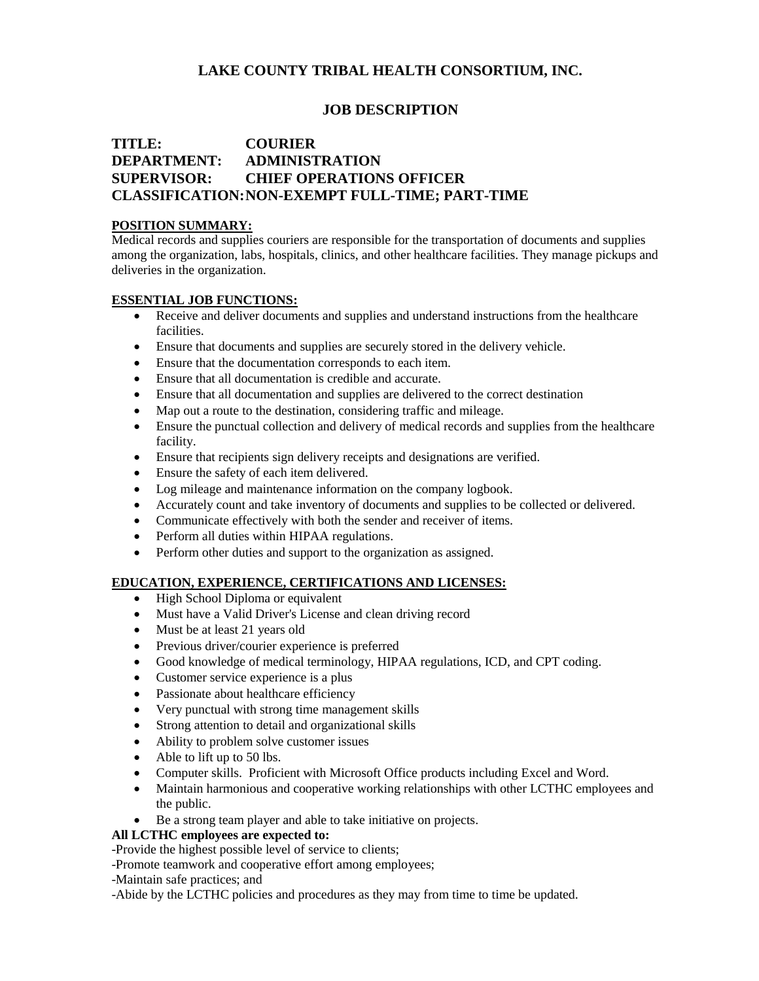# **LAKE COUNTY TRIBAL HEALTH CONSORTIUM, INC.**

## **JOB DESCRIPTION**

# **TITLE: COURIER DEPARTMENT: ADMINISTRATION SUPERVISOR: CHIEF OPERATIONS OFFICER CLASSIFICATION:NON-EXEMPT FULL-TIME; PART-TIME**

#### **POSITION SUMMARY:**

Medical records and supplies couriers are responsible for the transportation of documents and supplies among the organization, labs, hospitals, clinics, and other healthcare facilities. They manage pickups and deliveries in the organization.

### **ESSENTIAL JOB FUNCTIONS:**

- Receive and deliver documents and supplies and understand instructions from the healthcare facilities.
- Ensure that documents and supplies are securely stored in the delivery vehicle.
- Ensure that the documentation corresponds to each item.
- Ensure that all documentation is credible and accurate.
- Ensure that all documentation and supplies are delivered to the correct destination
- Map out a route to the destination, considering traffic and mileage.
- Ensure the punctual collection and delivery of medical records and supplies from the healthcare facility.
- Ensure that recipients sign delivery receipts and designations are verified.
- Ensure the safety of each item delivered.
- Log mileage and maintenance information on the company logbook.
- Accurately count and take inventory of documents and supplies to be collected or delivered.
- Communicate effectively with both the sender and receiver of items.
- Perform all duties within HIPAA regulations.
- Perform other duties and support to the organization as assigned.

### **EDUCATION, EXPERIENCE, CERTIFICATIONS AND LICENSES:**

- High School Diploma or equivalent
- Must have a Valid Driver's License and clean driving record
- Must be at least 21 years old
- Previous driver/courier experience is preferred
- Good knowledge of medical terminology, HIPAA regulations, ICD, and CPT coding.
- Customer service experience is a plus
- Passionate about healthcare efficiency
- Very punctual with strong time management skills
- Strong attention to detail and organizational skills
- Ability to problem solve customer issues
- Able to lift up to 50 lbs.
- Computer skills. Proficient with Microsoft Office products including Excel and Word.
- Maintain harmonious and cooperative working relationships with other LCTHC employees and the public.
- Be a strong team player and able to take initiative on projects.

#### **All LCTHC employees are expected to:**

-Provide the highest possible level of service to clients;

-Promote teamwork and cooperative effort among employees;

-Maintain safe practices; and

-Abide by the LCTHC policies and procedures as they may from time to time be updated.